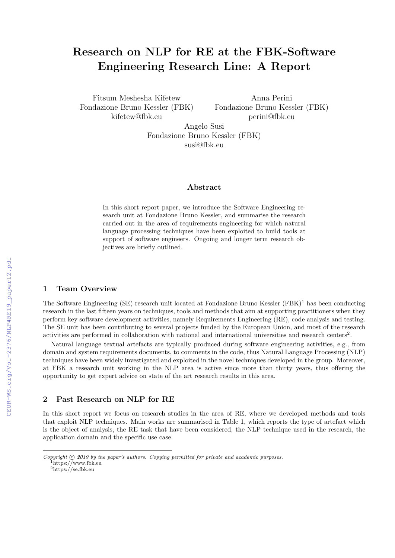# Research on NLP for RE at the FBK-Software Engineering Research Line: A Report

Fitsum Meshesha Kifetew Fondazione Bruno Kessler (FBK) kifetew@fbk.eu

Anna Perini Fondazione Bruno Kessler (FBK) perini@fbk.eu

Angelo Susi Fondazione Bruno Kessler (FBK) susi@fbk.eu

#### Abstract

In this short report paper, we introduce the Software Engineering research unit at Fondazione Bruno Kessler, and summarise the research carried out in the area of requirements engineering for which natural language processing techniques have been exploited to build tools at support of software engineers. Ongoing and longer term research objectives are briefly outlined.

### 1 Team Overview

The Software Engineering (SE) research unit located at Fondazione Bruno Kessler (FBK)<sup>1</sup> has been conducting research in the last fifteen years on techniques, tools and methods that aim at supporting practitioners when they perform key software development activities, namely Requirements Engineering (RE), code analysis and testing. The SE unit has been contributing to several projects funded by the European Union, and most of the research activities are performed in collaboration with national and international universities and research centers<sup>2</sup>.

Natural language textual artefacts are typically produced during software engineering activities, e.g., from domain and system requirements documents, to comments in the code, thus Natural Language Processing (NLP) techniques have been widely investigated and exploited in the novel techniques developed in the group. Moreover, at FBK a research unit working in the NLP area is active since more than thirty years, thus offering the opportunity to get expert advice on state of the art research results in this area.

### 2 Past Research on NLP for RE

In this short report we focus on research studies in the area of RE, where we developed methods and tools that exploit NLP techniques. Main works are summarised in Table 1, which reports the type of artefact which is the object of analysis, the RE task that have been considered, the NLP technique used in the research, the application domain and the specific use case.

<sup>2</sup>https://se.fbk.eu

Copyright  $\odot$  2019 by the paper's authors. Copying permitted for private and academic purposes. <sup>1</sup>https://www.fbk.eu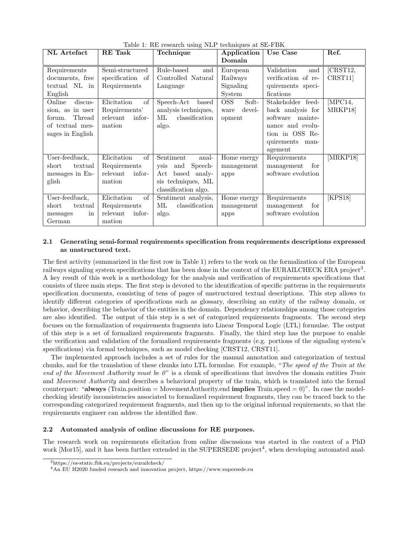| NL Artefact                          | <b>RE</b> Task     | raphy 1. Ith research ability run economytics as SET BIX<br>Technique | Application         | Use Case            | Ref.     |
|--------------------------------------|--------------------|-----------------------------------------------------------------------|---------------------|---------------------|----------|
|                                      |                    |                                                                       | Domain              |                     |          |
| Requirements                         | Semi-structured    | Rule-based<br>and                                                     | European            | Validation<br>and   | CRST12,  |
| documents, free                      | specification of   | Controlled Natural                                                    | Railways            | verification of re- | CRST11   |
| textual NL<br>$\sin$                 | Requirements       | Language                                                              | Signaling           | quirements speci-   |          |
| English                              |                    |                                                                       | System              | fications           |          |
| $\overline{\text{discus}}$<br>Online | Elicitation<br>of  | Speech-Act<br>based                                                   | <b>OSS</b><br>Soft- | Stakeholder feed-   | MPC14,   |
| sion, as in user                     | Requirements'      | analysis techniques,                                                  | devel-<br>ware      | back analysis for   | MRKP18   |
| Thread<br>forum.                     | relevant<br>infor- | classification<br>МL                                                  | opment              | software mainte-    |          |
| of textual mes-                      | mation             | algo.                                                                 |                     | nance and evolu-    |          |
| sages in English                     |                    |                                                                       |                     | tion in OSS Re-     |          |
|                                      |                    |                                                                       |                     | quirements man-     |          |
|                                      |                    |                                                                       |                     | agement             |          |
| User-feedback,                       | Elicitation<br>of  | Sentiment<br>anal-                                                    | Home energy         | Requirements        | [MRKP18] |
| short<br>textual                     | Requirements       | Speech-<br>ysis and                                                   | management          | management<br>for   |          |
| messages in En-                      | infor-<br>relevant | $\operatorname{Act}$<br>based analy-                                  | apps                | software evolution  |          |
| glish                                | mation             | sis techniques, ML                                                    |                     |                     |          |
|                                      |                    | classification algo.                                                  |                     |                     |          |
| User-feedback,                       | Elicitation<br>of  | Sentiment analysis,                                                   | Home energy         | Requirements        | [KPS18]  |
| textual<br>short                     | Requirements       | classification<br>МL                                                  | management          | management<br>for   |          |
| messages<br>in                       | relevant<br>infor- | algo.                                                                 | apps                | software evolution  |          |
| German                               | mation             |                                                                       |                     |                     |          |

Table 1: RE research using NLP techniques at SE-FBK

### 2.1 Generating semi-formal requirements specification from requirements descriptions expressed as unstructured text.

The first activity (summarized in the first row in Table 1) refers to the work on the formalization of the European railways signaling system specifications that has been done in the context of the EURAILCHECK ERA project<sup>3</sup>. A key result of this work is a methodology for the analysis and verification of requirements specifications that consists of three main steps. The first step is devoted to the identification of specific patterns in the requirements specification documents, consisting of tens of pages of unstructured textual descriptions. This step allows to identify different categories of specifications such as glossary, describing an entity of the railway domain, or behavior, describing the behavior of the entities in the domain. Dependency relationships among those categories are also identified. The output of this step is a set of categorized requirements fragments. The second step focuses on the formalization of requirements fragments into Linear Temporal Logic (LTL) formulae. The output of this step is a set of formalized requirements fragments. Finally, the third step has the purpose to enable the verification and validation of the formalized requirements fragments (e.g. portions of the signaling system's specifications) via formal techniques, such as model checking [CRST12, CRST11].

The implemented approach includes a set of rules for the manual annotation and categorization of textual chunks, and for the translation of these chunks into LTL formulae. For example, "The speed of the Train at the end of the Movement Authority must be  $0$ " is a chunk of specifications that involves the domain entities Train and Movement Authority and describes a behavioral property of the train, which is translated into the formal counterpart: "always (Train.position = MovementAuthority.end implies Train.speed = 0)". In case the modelchecking identify inconsistencies associated to formalized requirement fragments, they can be traced back to the corresponding categorized requirement fragments, and then up to the original informal requirements, so that the requirements engineer can address the identified flaw.

#### 2.2 Automated analysis of online discussions for RE purposes.

The research work on requirements elicitation from online discussions was started in the context of a PhD work [Mor15], and it has been further extended in the SUPERSEDE project<sup>4</sup>, when developing automated anal-

<sup>3</sup>https://es-static.fbk.eu/projects/eurailcheck/

<sup>4</sup>An EU H2020 funded research and innovation project, https://www.supersede.eu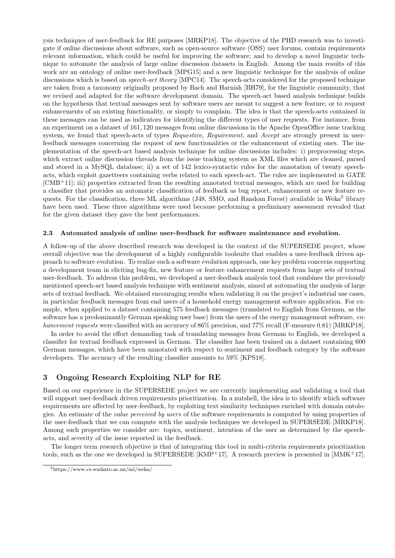ysis techniques of user-feedback for RE purposes [MRKP18]. The objective of the PHD research was to investigate if online discussions about software, such as open-source software (OSS) user forums, contain requirements relevant information, which could be useful for improving the software; and to develop a novel linguistic technique to automate the analysis of large online discussion datasets in English. Among the main results of this work are an ontology of online user-feedback [MPG15] and a new linguistic technique for the analysis of online discussions which is based on *speech-act theory* [MPC14]. The speech-acts considered for the proposed technique are taken from a taxonomy originally proposed by Bach and Harnish [BH79], for the linguistic community, that we revised and adapted for the software development domain. The speech-act based analysis technique builds on the hypothesis that textual messages sent by software users are meant to suggest a new feature, or to request enhancements of an existing functionality, or simply to complain. The idea is that the speech-acts contained in these messages can be used as indicators for identifying the different types of user requests. For instance, from an experiment on a dataset of 161, 120 messages from online discussions in the Apache OpenOffice issue tracking system, we found that speech-acts of types *Requestive, Requirement*, and *Accept* are strongly present in userfeedback messages concerning the request of new functionalities or the enhancement of existing ones. The implementation of the speech-act based analysis technique for online discussions includes: i) preprocessing steps, which extract online discussion threads from the issue tracking system as XML files which are cleaned, parsed and stored in a MySQL database; ii) a set of 142 lexico-syntactic rules for the annotation of twenty speechacts, which exploit gazetteers containing verbs related to each speech-act. The rules are implemented in GATE [CMB+11]; iii) properties extracted from the resulting annotated textual messages, which are used for building a classifier that provides an automatic classification of feedback as bug report, enhancement or new feature requests. For the classification, three ML algorithms (J48, SMO, and Random Forest) available in Weka<sup>5</sup> library have been used. These three algorithms were used because performing a preliminary assessment revealed that for the given dataset they gave the best performances.

#### 2.3 Automated analysis of online user-feedback for software maintenance and evolution.

A follow-up of the above described research was developed in the context of the SUPERSEDE project, whose overall objective was the development of a highly configurable toolsuite that enables a user-feedback driven approach to software evolution. To realize such a software evolution approach, one key problem concerns supporting a development team in eliciting bug-fix, new feature or feature enhancement requests from large sets of textual user-feedback. To address this problem, we developed a user-feedback analysis tool that combines the previously mentioned speech-act based analysis technique with sentiment analysis, aimed at automating the analysis of large sets of textual feedback. We obtained encouraging results when validating it on the project's industrial use cases, in particular feedback messages from end users of a household energy management software application. For example, when applied to a dataset containing 575 feedback messages (translated to English from German, as the software has a predominantly German speaking user base) from the users of the energy management software, enhancement requests were classified with an accuracy of 86% precision, and 77% recall (F-measure 0.81) [MRKP18].

In order to avoid the effort demanding task of translating messages from German to English, we developed a classifier for textual feedback expressed in German. The classifier has been trained on a dataset containing 600 German messages, which have been annotated with respect to sentiment and feedback category by the software developers. The accuracy of the resulting classifier amounts to 59% [KPS18].

## 3 Ongoing Research Exploiting NLP for RE

Based on our experience in the SUPERSEDE project we are currently implementing and validating a tool that will support user-feedback driven requirements prioritization. In a nutshell, the idea is to identify which software requirements are affected by user-feedback, by exploiting text similarity techniques enriched with domain ontologies. An estimate of the value perceived by users of the software requirements is computed by using properties of the user-feedback that we can compute with the analysis techniques we developed in SUPERSEDE [MRKP18]. Among such properties we consider are: topics, sentiment, intention of the user as determined by the speechacts, and severity of the issue reported in the feedback.

The longer term research objective is that of integrating this tool in multi-criteria requirements prioritization tools, such as the one we developed in SUPERSEDE  $\text{[KMP+17]}$ . A research preview is presented in  $\text{[MMK+17]}$ .

<sup>5</sup>https://www.cs.waikato.ac.nz/ml/weka/